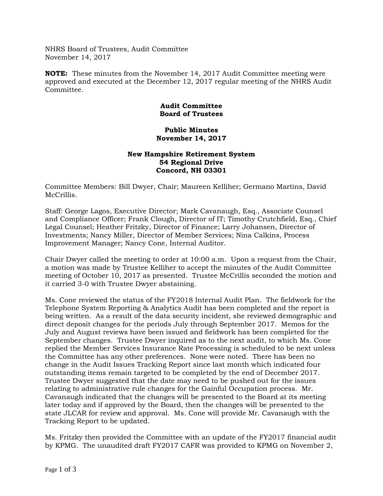NHRS Board of Trustees, Audit Committee November 14, 2017

**NOTE:** These minutes from the November 14, 2017 Audit Committee meeting were approved and executed at the December 12, 2017 regular meeting of the NHRS Audit Committee.

## **Audit Committee Board of Trustees**

## **Public Minutes November 14, 2017**

## **New Hampshire Retirement System 54 Regional Drive Concord, NH 03301**

Committee Members: Bill Dwyer, Chair; Maureen Kelliher; Germano Martins, David McCrillis.

Staff: George Lagos, Executive Director; Mark Cavanaugh, Esq., Associate Counsel and Compliance Officer; Frank Clough, Director of IT; Timothy Crutchfield, Esq., Chief Legal Counsel; Heather Fritzky, Director of Finance; Larry Johansen, Director of Investments; Nancy Miller, Director of Member Services; Nina Calkins, Process Improvement Manager; Nancy Cone, Internal Auditor.

Chair Dwyer called the meeting to order at 10:00 a.m. Upon a request from the Chair, a motion was made by Trustee Kelliher to accept the minutes of the Audit Committee meeting of October 10, 2017 as presented. Trustee McCrillis seconded the motion and it carried 3-0 with Trustee Dwyer abstaining.

Ms. Cone reviewed the status of the FY2018 Internal Audit Plan. The fieldwork for the Telephone System Reporting & Analytics Audit has been completed and the report is being written. As a result of the data security incident, she reviewed demographic and direct deposit changes for the periods July through September 2017. Memos for the July and August reviews have been issued and fieldwork has been completed for the September changes. Trustee Dwyer inquired as to the next audit, to which Ms. Cone replied the Member Services Insurance Rate Processing is scheduled to be next unless the Committee has any other preferences. None were noted. There has been no change in the Audit Issues Tracking Report since last month which indicated four outstanding items remain targeted to be completed by the end of December 2017. Trustee Dwyer suggested that the date may need to be pushed out for the issues relating to administrative rule changes for the Gainful Occupation process. Mr. Cavanaugh indicated that the changes will be presented to the Board at its meeting later today and if approved by the Board, then the changes will be presented to the state JLCAR for review and approval. Ms. Cone will provide Mr. Cavanaugh with the Tracking Report to be updated.

Ms. Fritzky then provided the Committee with an update of the FY2017 financial audit by KPMG. The unaudited draft FY2017 CAFR was provided to KPMG on November 2,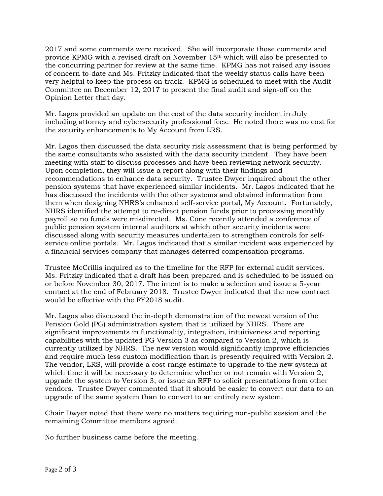2017 and some comments were received. She will incorporate those comments and provide KPMG with a revised draft on November 15th which will also be presented to the concurring partner for review at the same time. KPMG has not raised any issues of concern to-date and Ms. Fritzky indicated that the weekly status calls have been very helpful to keep the process on track. KPMG is scheduled to meet with the Audit Committee on December 12, 2017 to present the final audit and sign-off on the Opinion Letter that day.

Mr. Lagos provided an update on the cost of the data security incident in July including attorney and cybersecurity professional fees. He noted there was no cost for the security enhancements to My Account from LRS.

Mr. Lagos then discussed the data security risk assessment that is being performed by the same consultants who assisted with the data security incident. They have been meeting with staff to discuss processes and have been reviewing network security. Upon completion, they will issue a report along with their findings and recommendations to enhance data security. Trustee Dwyer inquired about the other pension systems that have experienced similar incidents. Mr. Lagos indicated that he has discussed the incidents with the other systems and obtained information from them when designing NHRS's enhanced self-service portal, My Account. Fortunately, NHRS identified the attempt to re-direct pension funds prior to processing monthly payroll so no funds were misdirected. Ms. Cone recently attended a conference of public pension system internal auditors at which other security incidents were discussed along with security measures undertaken to strengthen controls for selfservice online portals. Mr. Lagos indicated that a similar incident was experienced by a financial services company that manages deferred compensation programs.

Trustee McCrillis inquired as to the timeline for the RFP for external audit services. Ms. Fritzky indicated that a draft has been prepared and is scheduled to be issued on or before November 30, 2017. The intent is to make a selection and issue a 5-year contact at the end of February 2018. Trustee Dwyer indicated that the new contract would be effective with the FY2018 audit.

Mr. Lagos also discussed the in-depth demonstration of the newest version of the Pension Gold (PG) administration system that is utilized by NHRS. There are significant improvements in functionality, integration, intuitiveness and reporting capabilities with the updated PG Version 3 as compared to Version 2, which is currently utilized by NHRS. The new version would significantly improve efficiencies and require much less custom modification than is presently required with Version 2. The vendor, LRS, will provide a cost range estimate to upgrade to the new system at which time it will be necessary to determine whether or not remain with Version 2, upgrade the system to Version 3, or issue an RFP to solicit presentations from other vendors. Trustee Dwyer commented that it should be easier to convert our data to an upgrade of the same system than to convert to an entirely new system.

Chair Dwyer noted that there were no matters requiring non-public session and the remaining Committee members agreed.

No further business came before the meeting.